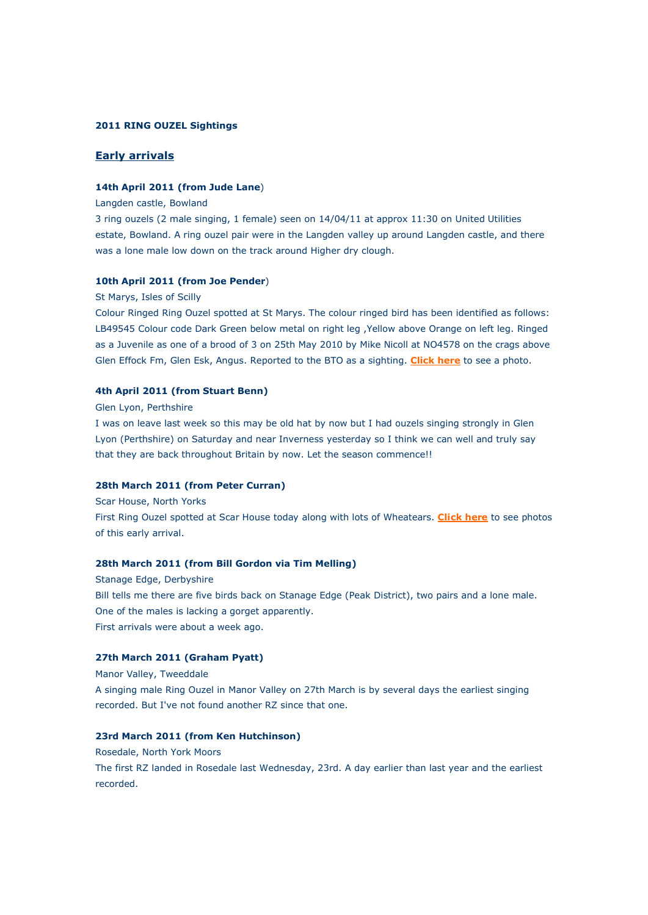## **2011 RING OUZEL Sightings**

## **Early arrivals**

## **14th April 2011 (from Jude Lane**)

### Langden castle, Bowland

3 ring ouzels (2 male singing, 1 female) seen on 14/04/11 at approx 11:30 on United Utilities estate, Bowland. A ring ouzel pair were in the Langden valley up around Langden castle, and there was a lone male low down on the track around Higher dry clough.

### **10th April 2011 (from Joe Pender**)

#### St Marys, Isles of Scilly

Colour Ringed Ring Ouzel spotted at St Marys. The colour ringed bird has been identified as follows: LB49545 Colour code Dark Green below metal on right leg ,Yellow above Orange on left leg. Ringed as a Juvenile as one of a brood of 3 on 25th May 2010 by Mike Nicoll at NO4578 on the crags above Glen Effock Fm, Glen Esk, Angus. Reported to the BTO as a sighting. **[Click here](http://www.ringouzel.info/photos_adultringouzels.html#pender)** to see a photo.

#### **4th April 2011 (from Stuart Benn)**

#### Glen Lyon, Perthshire

I was on leave last week so this may be old hat by now but I had ouzels singing strongly in Glen Lyon (Perthshire) on Saturday and near Inverness yesterday so I think we can well and truly say that they are back throughout Britain by now. Let the season commence!!

### **28th March 2011 (from Peter Curran)**

Scar House, North Yorks

First Ring Ouzel spotted at Scar House today along with lots of Wheatears. **[Click here](http://www.ringouzel.info/photos_adultringouzels.html#curran)** to see photos of this early arrival.

### **28th March 2011 (from Bill Gordon via Tim Melling)**

Stanage Edge, Derbyshire Bill tells me there are five birds back on Stanage Edge (Peak District), two pairs and a lone male. One of the males is lacking a gorget apparently. First arrivals were about a week ago.

### **27th March 2011 (Graham Pyatt)**

Manor Valley, Tweeddale

A singing male Ring Ouzel in Manor Valley on 27th March is by several days the earliest singing recorded. But I've not found another RZ since that one.

## **23rd March 2011 (from Ken Hutchinson)**

Rosedale, North York Moors The first RZ landed in Rosedale last Wednesday, 23rd. A day earlier than last year and the earliest recorded.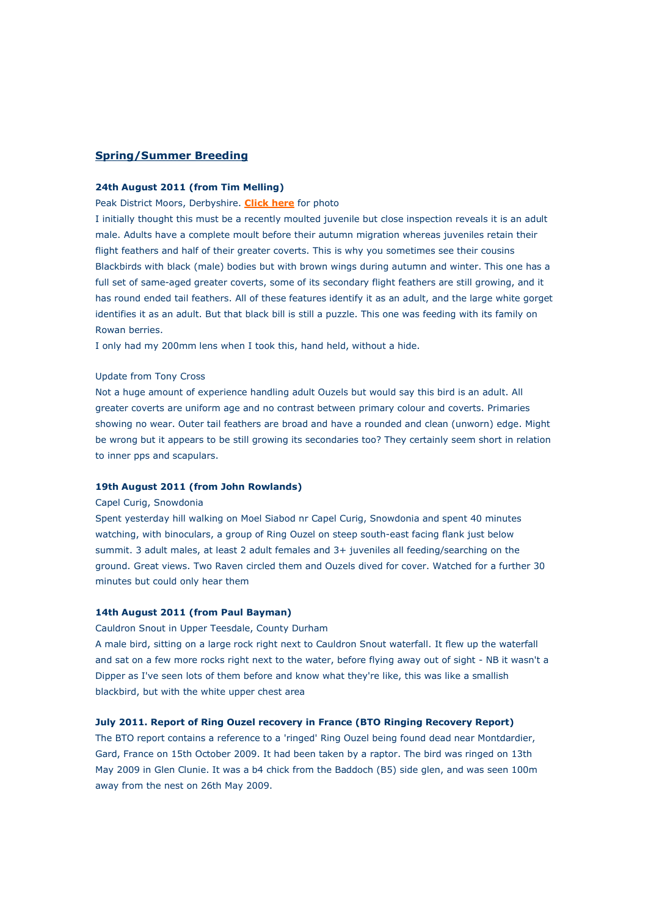### **Spring/Summer Breeding**

### **24th August 2011 (from Tim Melling)**

### Peak District Moors, Derbyshire. **[Click here](http://www.ringouzel.info/photos_adultringouzels.html#melling)** for photo

I initially thought this must be a recently moulted juvenile but close inspection reveals it is an adult male. Adults have a complete moult before their autumn migration whereas juveniles retain their flight feathers and half of their greater coverts. This is why you sometimes see their cousins Blackbirds with black (male) bodies but with brown wings during autumn and winter. This one has a full set of same-aged greater coverts, some of its secondary flight feathers are still growing, and it has round ended tail feathers. All of these features identify it as an adult, and the large white gorget identifies it as an adult. But that black bill is still a puzzle. This one was feeding with its family on Rowan berries.

I only had my 200mm lens when I took this, hand held, without a hide.

### Update from Tony Cross

Not a huge amount of experience handling adult Ouzels but would say this bird is an adult. All greater coverts are uniform age and no contrast between primary colour and coverts. Primaries showing no wear. Outer tail feathers are broad and have a rounded and clean (unworn) edge. Might be wrong but it appears to be still growing its secondaries too? They certainly seem short in relation to inner pps and scapulars.

#### **19th August 2011 (from John Rowlands)**

#### Capel Curig, Snowdonia

Spent yesterday hill walking on Moel Siabod nr Capel Curig, Snowdonia and spent 40 minutes watching, with binoculars, a group of Ring Ouzel on steep south-east facing flank just below summit. 3 adult males, at least 2 adult females and 3+ juveniles all feeding/searching on the ground. Great views. Two Raven circled them and Ouzels dived for cover. Watched for a further 30 minutes but could only hear them

### **14th August 2011 (from Paul Bayman)**

Cauldron Snout in Upper Teesdale, County Durham

A male bird, sitting on a large rock right next to Cauldron Snout waterfall. It flew up the waterfall and sat on a few more rocks right next to the water, before flying away out of sight - NB it wasn't a Dipper as I've seen lots of them before and know what they're like, this was like a smallish blackbird, but with the white upper chest area

#### **July 2011. Report of Ring Ouzel recovery in France (BTO Ringing Recovery Report)**

The BTO report contains a reference to a 'ringed' Ring Ouzel being found dead near Montdardier, Gard, France on 15th October 2009. It had been taken by a raptor. The bird was ringed on 13th May 2009 in Glen Clunie. It was a b4 chick from the Baddoch (B5) side glen, and was seen 100m away from the nest on 26th May 2009.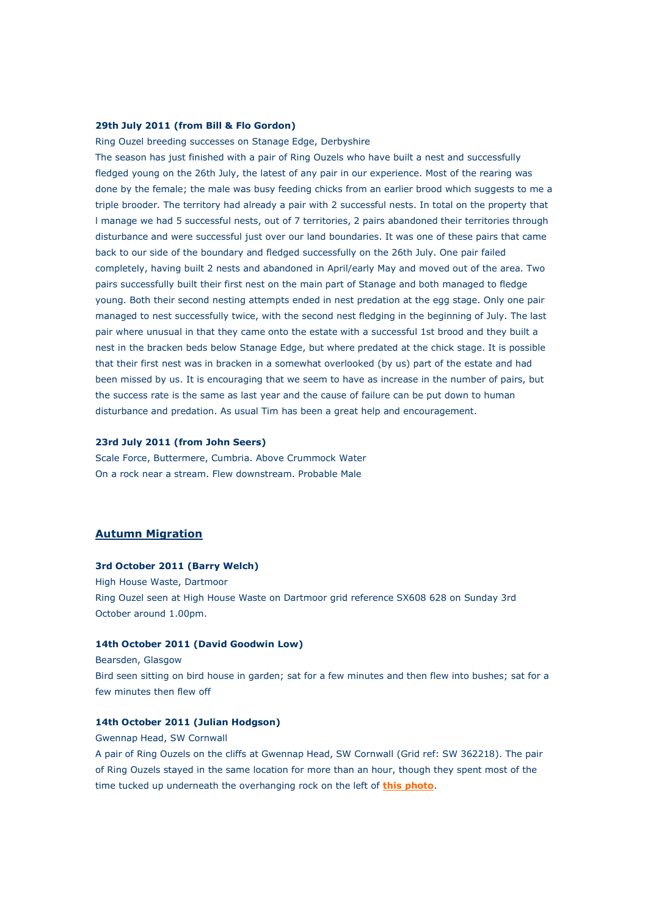## **29th July 2011 (from Bill & Flo Gordon)**

Ring Ouzel breeding successes on Stanage Edge, Derbyshire The season has just finished with a pair of Ring Ouzels who have built a nest and successfully fledged young on the 26th July, the latest of any pair in our experience. Most of the rearing was done by the female; the male was busy feeding chicks from an earlier brood which suggests to me a triple brooder. The territory had already a pair with 2 successful nests. In total on the property that l manage we had 5 successful nests, out of 7 territories, 2 pairs abandoned their territories through disturbance and were successful just over our land boundaries. It was one of these pairs that came back to our side of the boundary and fledged successfully on the 26th July. One pair failed completely, having built 2 nests and abandoned in April/early May and moved out of the area. Two pairs successfully built their first nest on the main part of Stanage and both managed to fledge young. Both their second nesting attempts ended in nest predation at the egg stage. Only one pair managed to nest successfully twice, with the second nest fledging in the beginning of July. The last pair where unusual in that they came onto the estate with a successful 1st brood and they built a nest in the bracken beds below Stanage Edge, but where predated at the chick stage. It is possible that their first nest was in bracken in a somewhat overlooked (by us) part of the estate and had been missed by us. It is encouraging that we seem to have as increase in the number of pairs, but the success rate is the same as last year and the cause of failure can be put down to human disturbance and predation. As usual Tim has been a great help and encouragement.

## **23rd July 2011 (from John Seers)**

Scale Force, Buttermere, Cumbria. Above Crummock Water On a rock near a stream. Flew downstream. Probable Male

## **Autumn Migration**

#### **3rd October 2011 (Barry Welch)**

High House Waste, Dartmoor Ring Ouzel seen at High House Waste on Dartmoor grid reference SX608 628 on Sunday 3rd October around 1.00pm.

#### **14th October 2011 (David Goodwin Low)**

Bearsden, Glasgow

Bird seen sitting on bird house in garden; sat for a few minutes and then flew into bushes; sat for a few minutes then flew off

## **14th October 2011 (Julian Hodgson)**

Gwennap Head, SW Cornwall

A pair of Ring Ouzels on the cliffs at Gwennap Head, SW Cornwall (Grid ref: SW 362218). The pair of Ring Ouzels stayed in the same location for more than an hour, though they spent most of the time tucked up underneath the overhanging rock on the left of **[this photo](http://www.ringouzel.info/photos_adultringouzels.html#hodgson)**.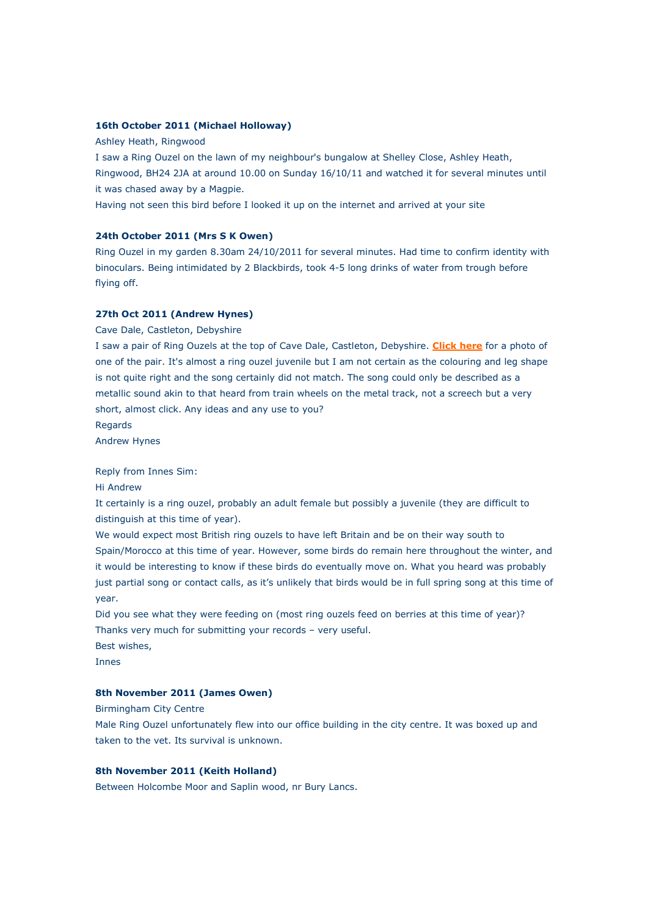## **16th October 2011 (Michael Holloway)**

### Ashley Heath, Ringwood

I saw a Ring Ouzel on the lawn of my neighbour's bungalow at Shelley Close, Ashley Heath, Ringwood, BH24 2JA at around 10.00 on Sunday 16/10/11 and watched it for several minutes until it was chased away by a Magpie.

Having not seen this bird before I looked it up on the internet and arrived at your site

### **24th October 2011 (Mrs S K Owen)**

Ring Ouzel in my garden 8.30am 24/10/2011 for several minutes. Had time to confirm identity with binoculars. Being intimidated by 2 Blackbirds, took 4-5 long drinks of water from trough before flying off.

# **27th Oct 2011 (Andrew Hynes)**

Cave Dale, Castleton, Debyshire

I saw a pair of Ring Ouzels at the top of Cave Dale, Castleton, Debyshire. **[Click here](http://www.ringouzel.info/photos_adultringouzels.html#hynes)** for a photo of one of the pair. It's almost a ring ouzel juvenile but I am not certain as the colouring and leg shape is not quite right and the song certainly did not match. The song could only be described as a metallic sound akin to that heard from train wheels on the metal track, not a screech but a very short, almost click. Any ideas and any use to you?

Regards

Andrew Hynes

#### Reply from Innes Sim:

Hi Andrew

It certainly is a ring ouzel, probably an adult female but possibly a juvenile (they are difficult to distinguish at this time of year).

We would expect most British ring ouzels to have left Britain and be on their way south to Spain/Morocco at this time of year. However, some birds do remain here throughout the winter, and it would be interesting to know if these birds do eventually move on. What you heard was probably just partial song or contact calls, as it's unlikely that birds would be in full spring song at this time of year.

Did you see what they were feeding on (most ring ouzels feed on berries at this time of year)? Thanks very much for submitting your records – very useful. Best wishes,

Innes

## **8th November 2011 (James Owen)**

Birmingham City Centre

Male Ring Ouzel unfortunately flew into our office building in the city centre. It was boxed up and taken to the vet. Its survival is unknown.

## **8th November 2011 (Keith Holland)**

Between Holcombe Moor and Saplin wood, nr Bury Lancs.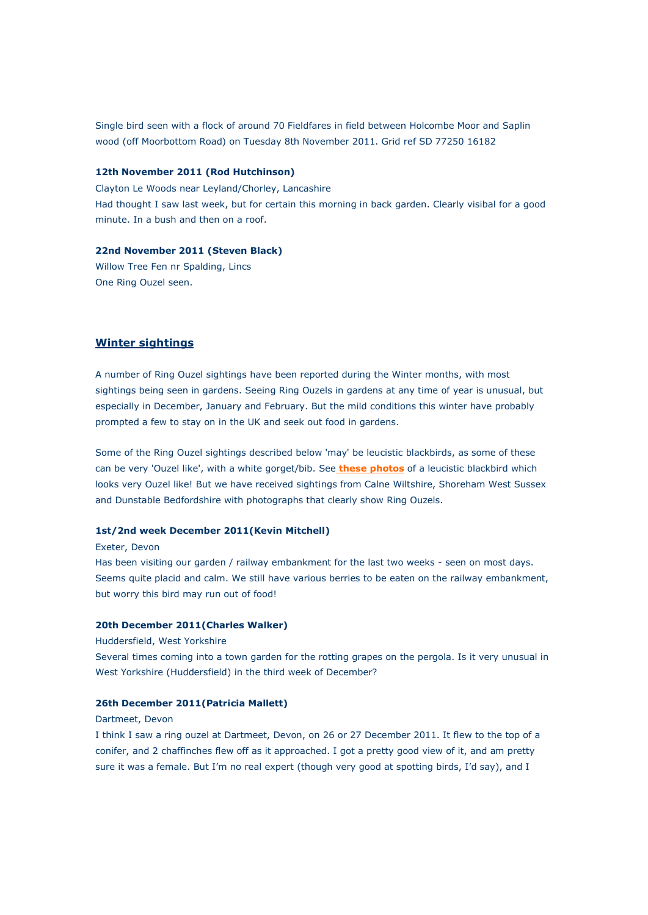Single bird seen with a flock of around 70 Fieldfares in field between Holcombe Moor and Saplin wood (off Moorbottom Road) on Tuesday 8th November 2011. Grid ref SD 77250 16182

## **12th November 2011 (Rod Hutchinson)**

Clayton Le Woods near Leyland/Chorley, Lancashire Had thought I saw last week, but for certain this morning in back garden. Clearly visibal for a good minute. In a bush and then on a roof.

### **22nd November 2011 (Steven Black)**

Willow Tree Fen nr Spalding, Lincs One Ring Ouzel seen.

## **Winter sightings**

A number of Ring Ouzel sightings have been reported during the Winter months, with most sightings being seen in gardens. Seeing Ring Ouzels in gardens at any time of year is unusual, but especially in December, January and February. But the mild conditions this winter have probably prompted a few to stay on in the UK and seek out food in gardens.

Some of the Ring Ouzel sightings described below 'may' be leucistic blackbirds, as some of these can be very 'Ouzel like', with a white gorget/bib. See **these photos** of a leucistic blackbird which looks very Ouzel like! But we have received sightings from Calne Wiltshire, Shoreham West Sussex and Dunstable Bedfordshire with photographs that clearly show Ring Ouzels.

## **1st/2nd week December 2011(Kevin Mitchell)**

Exeter, Devon

Has been visiting our garden / railway embankment for the last two weeks - seen on most days. Seems quite placid and calm. We still have various berries to be eaten on the railway embankment, but worry this bird may run out of food!

#### **20th December 2011(Charles Walker)**

#### Huddersfield, West Yorkshire

Several times coming into a town garden for the rotting grapes on the pergola. Is it very unusual in West Yorkshire (Huddersfield) in the third week of December?

#### **26th December 2011(Patricia Mallett)**

#### Dartmeet, Devon

I think I saw a ring ouzel at Dartmeet, Devon, on 26 or 27 December 2011. It flew to the top of a conifer, and 2 chaffinches flew off as it approached. I got a pretty good view of it, and am pretty sure it was a female. But I'm no real expert (though very good at spotting birds, I'd say), and I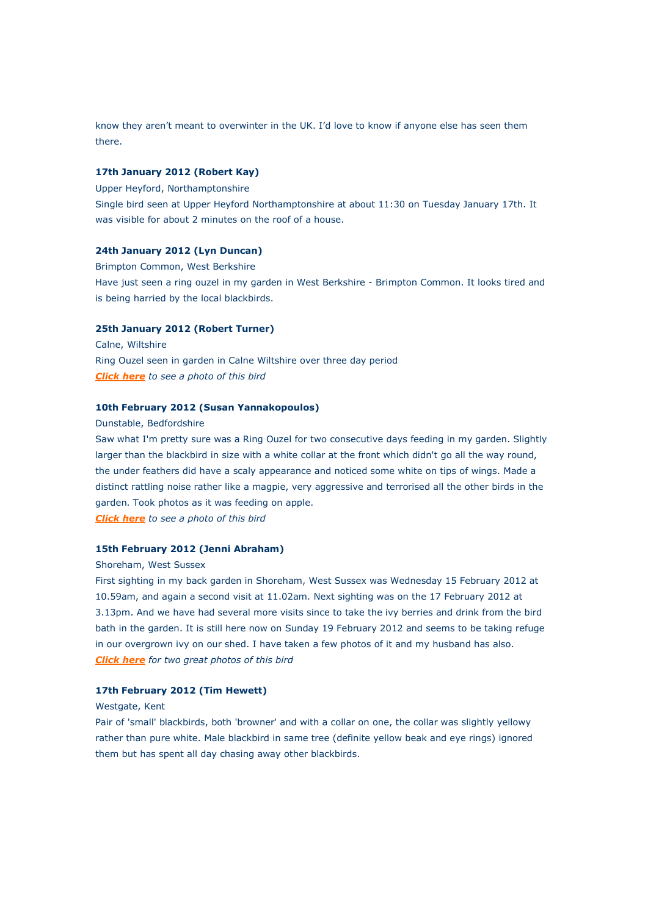know they aren't meant to overwinter in the UK. I'd love to know if anyone else has seen them there.

## **17th January 2012 (Robert Kay)**

Upper Heyford, Northamptonshire

Single bird seen at Upper Heyford Northamptonshire at about 11:30 on Tuesday January 17th. It was visible for about 2 minutes on the roof of a house.

### **24th January 2012 (Lyn Duncan)**

Brimpton Common, West Berkshire Have just seen a ring ouzel in my garden in West Berkshire - Brimpton Common. It looks tired and is being harried by the local blackbirds.

### **25th January 2012 (Robert Turner)**

Calne, Wiltshire Ring Ouzel seen in garden in Calne Wiltshire over three day period *[Click here](http://www.ringouzel.info/photos_adultringouzels.html#calne) to see a photo of this bird*

#### **10th February 2012 (Susan Yannakopoulos)**

Dunstable, Bedfordshire

Saw what I'm pretty sure was a Ring Ouzel for two consecutive days feeding in my garden. Slightly larger than the blackbird in size with a white collar at the front which didn't go all the way round, the under feathers did have a scaly appearance and noticed some white on tips of wings. Made a distinct rattling noise rather like a magpie, very aggressive and terrorised all the other birds in the garden. Took photos as it was feeding on apple. *[Click here](http://www.ringouzel.info/photos_adultringouzels.html#dunstable) to see a photo of this bird*

#### **15th February 2012 (Jenni Abraham)**

#### Shoreham, West Sussex

First sighting in my back garden in Shoreham, West Sussex was Wednesday 15 February 2012 at 10.59am, and again a second visit at 11.02am. Next sighting was on the 17 February 2012 at 3.13pm. And we have had several more visits since to take the ivy berries and drink from the bird bath in the garden. It is still here now on Sunday 19 February 2012 and seems to be taking refuge in our overgrown ivy on our shed. I have taken a few photos of it and my husband has also. *[Click here](http://www.ringouzel.info/photos_adultringouzels.html#westshoreham) for two great photos of this bird*

#### **17th February 2012 (Tim Hewett)**

#### Westgate, Kent

Pair of 'small' blackbirds, both 'browner' and with a collar on one, the collar was slightly yellowy rather than pure white. Male blackbird in same tree (definite yellow beak and eye rings) ignored them but has spent all day chasing away other blackbirds.